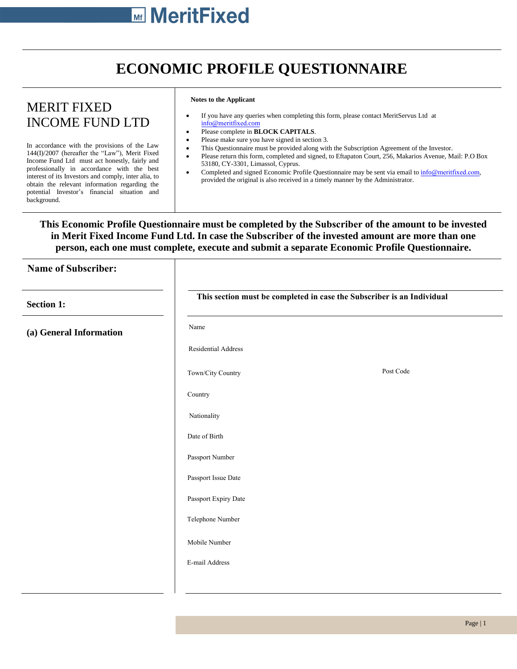## **ECONOMIC PROFILE QUESTIONNAIRE**

## MERIT FIXED INCOME FUND LTD

In accordance with the provisions of the Law 144(I)/2007 (hereafter the "Law"), Merit Fixed Income Fund Ltd must act honestly, fairly and professionally in accordance with the best interest of its Investors and comply, inter alia, to obtain the relevant information regarding the potential Investor's financial situation and background.

## **Notes to the Applicant**

- If you have any queries when completing this form, please contact MeritServus Ltd at info@[meritfixed](mailto:info@meritservus.com).com
- Please complete in **BLOCK CAPITALS**.
- Please make sure you have signed in section 3.
- This Questionnaire must be provided along with the Subscription Agreement of the Investor.
- Please return this form, completed and signed, to Eftapaton Court, 256, Makarios Avenue, Mail: P.O Box 53180, CY-3301, Limassol, Cyprus.
- Completed and signed Economic Profile Questionnaire may be sent via email to info@[meritfixed.com](mailto:info@meritservus.com), provided the original is also received in a timely manner by the Administrator.

## **This Economic Profile Questionnaire must be completed by the Subscriber of the amount to be invested in Merit Fixed Income Fund Ltd. In case the Subscriber of the invested amount are more than one person, each one must complete, execute and submit a separate Economic Profile Questionnaire.**

| <b>Name of Subscriber:</b> |                                                                        |           |
|----------------------------|------------------------------------------------------------------------|-----------|
| <b>Section 1:</b>          | This section must be completed in case the Subscriber is an Individual |           |
| (a) General Information    | Name                                                                   |           |
|                            | Residential Address                                                    |           |
|                            | Town/City Country                                                      | Post Code |
|                            | Country                                                                |           |
|                            | Nationality                                                            |           |
|                            | Date of Birth                                                          |           |
|                            | Passport Number                                                        |           |
|                            | Passport Issue Date                                                    |           |
|                            | Passport Expiry Date                                                   |           |
|                            | Telephone Number                                                       |           |
|                            | Mobile Number                                                          |           |
|                            | E-mail Address                                                         |           |
|                            |                                                                        |           |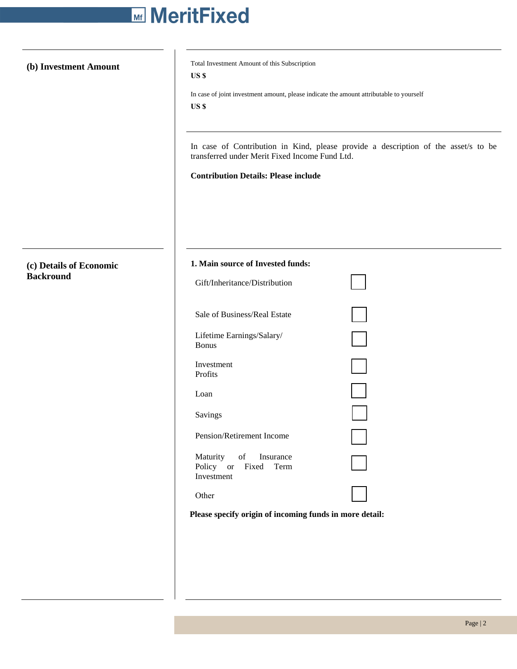# **Mill MeritFixed**

**(c) Details of Economic Backround**

**(b) Investment Amount** Total Investment Amount of this Subscription **US \$**

> In case of joint investment amount, please indicate the amount attributable to yourself **US \$**

In case of Contribution in Kind, please provide a description of the asset/s to be transferred under Merit Fixed Income Fund Ltd.

**Contribution Details: Please include**

| 1. Main source of Invested funds:                           |  |
|-------------------------------------------------------------|--|
| Gift/Inheritance/Distribution                               |  |
| Sale of Business/Real Estate                                |  |
| Lifetime Earnings/Salary/<br><b>Bonus</b>                   |  |
| Investment<br>Profits                                       |  |
| Loan                                                        |  |
| Savings                                                     |  |
| Pension/Retirement Income                                   |  |
| Maturity of Insurance<br>Policy or Fixed Term<br>Investment |  |
| Other                                                       |  |

**Please specify origin of incoming funds in more detail:**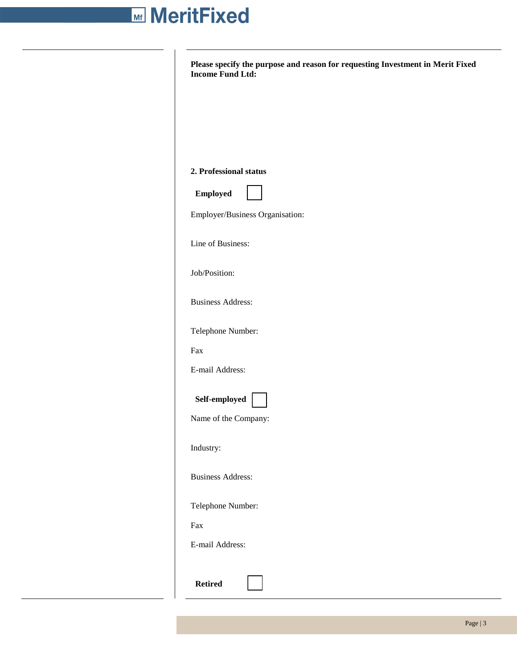# **Mill MeritFixed**

|     | <b>Income Fund Ltd:</b>         |
|-----|---------------------------------|
|     |                                 |
|     |                                 |
|     |                                 |
|     |                                 |
|     | 2. Professional status          |
|     | <b>Employed</b>                 |
|     | Employer/Business Organisation: |
|     |                                 |
|     | Line of Business:               |
|     | Job/Position:                   |
|     |                                 |
|     | <b>Business Address:</b>        |
|     | Telephone Number:               |
| Fax |                                 |
|     | E-mail Address:                 |
|     |                                 |
|     | Self-employed                   |
|     | Name of the Company:            |
|     | Industry:                       |
|     | <b>Business Address:</b>        |
|     |                                 |
|     | Telephone Number:               |
| Fax |                                 |
|     | E-mail Address:                 |
|     |                                 |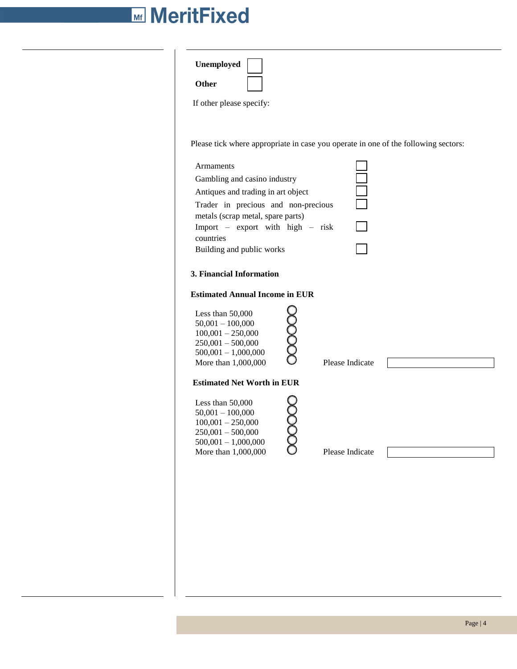# **Mi MeritFixed**

| Unemployed<br>Other<br>If other please specify:                                                                                                                                                                                                                                                    |
|----------------------------------------------------------------------------------------------------------------------------------------------------------------------------------------------------------------------------------------------------------------------------------------------------|
| Please tick where appropriate in case you operate in one of the following sectors:<br>Armaments<br>Gambling and casino industry<br>Antiques and trading in art object<br>Trader in precious and non-precious<br>metals (scrap metal, spare parts)<br>Import - export with high - risk<br>countries |
| Building and public works<br>3. Financial Information<br><b>Estimated Annual Income in EUR</b>                                                                                                                                                                                                     |
| 00000<br>Less than 50,000<br>$50,001 - 100,000$<br>$100,001 - 250,000$<br>$250,001 - 500,000$<br>$500,001 - 1,000,000$<br>Please Indicate<br>More than 1,000,000                                                                                                                                   |
| <b>Estimated Net Worth in EUR</b><br>Less than 50,000<br>$50,001 - 100,000$<br>$100,001 - 250,000$<br>$250,001 - 500,000$<br>$500,001 - 1,000,000$<br>More than 1,000,000<br>Please Indicate                                                                                                       |
|                                                                                                                                                                                                                                                                                                    |
|                                                                                                                                                                                                                                                                                                    |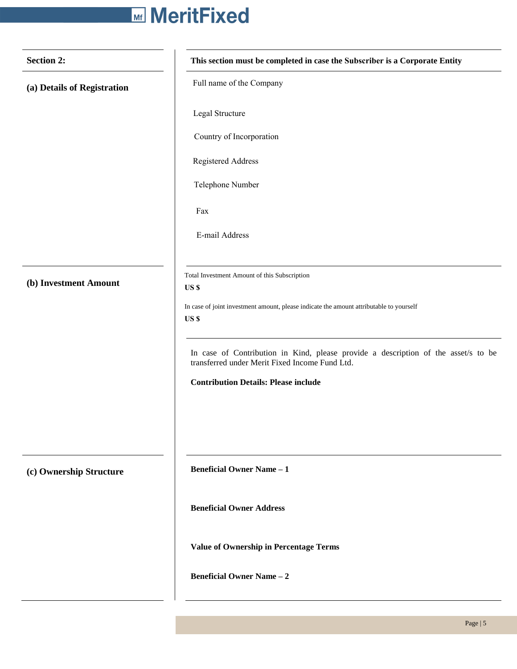# **Mill MeritFixed**

| <b>Section 2:</b>           | This section must be completed in case the Subscriber is a Corporate Entity                                                          |  |
|-----------------------------|--------------------------------------------------------------------------------------------------------------------------------------|--|
| (a) Details of Registration | Full name of the Company                                                                                                             |  |
|                             | Legal Structure                                                                                                                      |  |
|                             | Country of Incorporation                                                                                                             |  |
|                             | Registered Address                                                                                                                   |  |
|                             | Telephone Number                                                                                                                     |  |
|                             | Fax                                                                                                                                  |  |
|                             | E-mail Address                                                                                                                       |  |
|                             |                                                                                                                                      |  |
| (b) Investment Amount       | Total Investment Amount of this Subscription<br>US \$                                                                                |  |
|                             | In case of joint investment amount, please indicate the amount attributable to yourself<br>US \$                                     |  |
|                             | In case of Contribution in Kind, please provide a description of the asset/s to be<br>transferred under Merit Fixed Income Fund Ltd. |  |
|                             | <b>Contribution Details: Please include</b>                                                                                          |  |
|                             |                                                                                                                                      |  |
|                             |                                                                                                                                      |  |
| (c) Ownership Structure     | <b>Beneficial Owner Name - 1</b>                                                                                                     |  |
|                             | <b>Beneficial Owner Address</b>                                                                                                      |  |
|                             | <b>Value of Ownership in Percentage Terms</b>                                                                                        |  |
|                             | <b>Beneficial Owner Name - 2</b>                                                                                                     |  |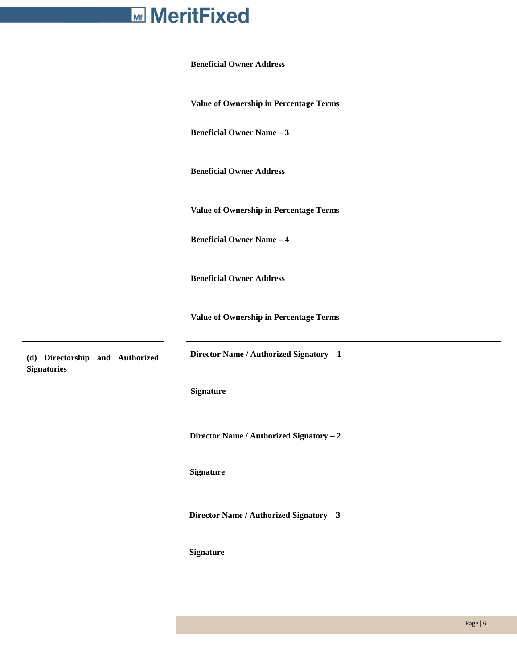# **Beneficial Owner Address Value of Ownership in Percentage Terms Beneficial Owner Name – 3 Beneficial Owner Address Value of Ownership in Percentage Terms Beneficial Owner Name – 4 Beneficial Owner Address Value of Ownership in Percentage Terms (d) Directorship and Authorized Director Name / Authorized Signatory – 1 Signature Director Name / Authorized Signatory – 2 Signature**

**Director Name / Authorized Signatory – 3** 

## **Signature**

**Signatories**

Page | 6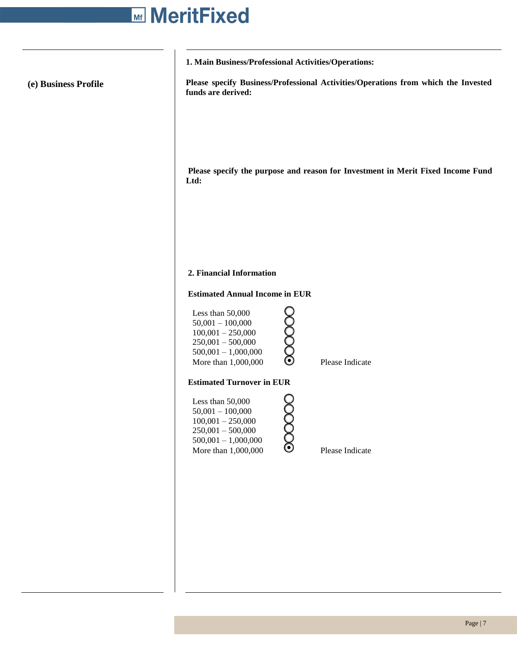# **Mi MeritFixed**

 $\overline{\phantom{a}}$ 

|                      | 1. Main Business/Professional Activities/Operations:                                                                                                             |  |  |
|----------------------|------------------------------------------------------------------------------------------------------------------------------------------------------------------|--|--|
| (e) Business Profile | Please specify Business/Professional Activities/Operations from which the Invested<br>funds are derived:                                                         |  |  |
|                      | Please specify the purpose and reason for Investment in Merit Fixed Income Fund<br>Ltd:                                                                          |  |  |
|                      | 2. Financial Information                                                                                                                                         |  |  |
|                      | <b>Estimated Annual Income in EUR</b>                                                                                                                            |  |  |
|                      | Less than 50,000<br>00000<br>$50,001 - 100,000$<br>$100,001 - 250,000$<br>$250,001 - 500,000$<br>$500,001 - 1,000,000$<br>More than 1,000,000<br>Please Indicate |  |  |
|                      | <b>Estimated Turnover in EUR</b>                                                                                                                                 |  |  |
|                      | Less than 50,000<br>$50,001 - 100,000$<br>$100,001 - 250,000$<br>$250,001 - 500,000$<br>$500,001 - 1,000,000$<br><u>රි</u>                                       |  |  |
|                      | More than 1,000,000<br>Please Indicate                                                                                                                           |  |  |
|                      |                                                                                                                                                                  |  |  |
|                      |                                                                                                                                                                  |  |  |